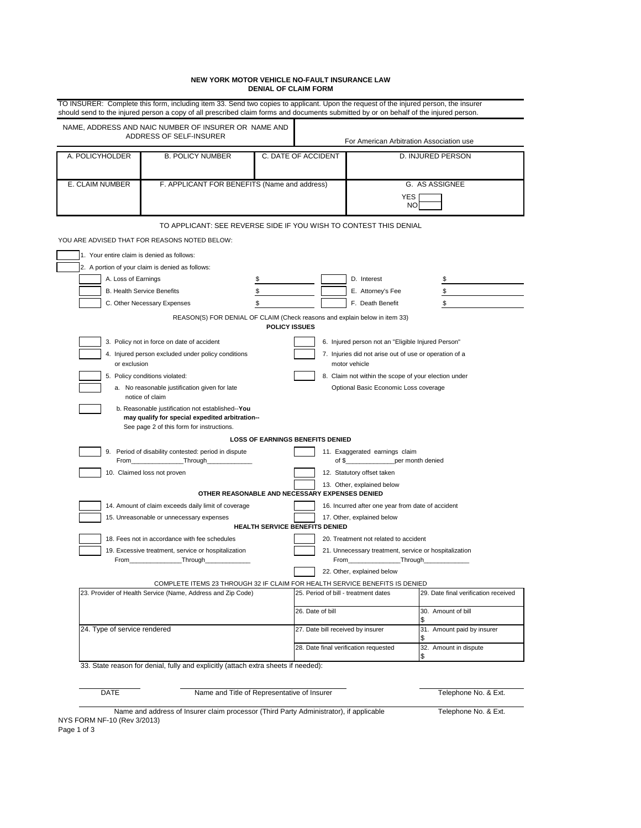## **NEW YORK MOTOR VEHICLE NO-FAULT INSURANCE LAW DENIAL OF CLAIM FORM**

| NAME, ADDRESS AND NAIC NUMBER OF INSURER OR NAME AND<br>ADDRESS OF SELF-INSURER |                                                                                                           |                      | For American Arbitration Association use                                                |                                                                            |                                      |  |
|---------------------------------------------------------------------------------|-----------------------------------------------------------------------------------------------------------|----------------------|-----------------------------------------------------------------------------------------|----------------------------------------------------------------------------|--------------------------------------|--|
| A. POLICYHOLDER                                                                 | <b>B. POLICY NUMBER</b>                                                                                   | C. DATE OF ACCIDENT  |                                                                                         | D. INJURED PERSON                                                          |                                      |  |
| E. CLAIM NUMBER<br>F. APPLICANT FOR BENEFITS (Name and address)                 |                                                                                                           |                      |                                                                                         | G. AS ASSIGNEE<br>YES<br><b>NO</b>                                         |                                      |  |
|                                                                                 | TO APPLICANT: SEE REVERSE SIDE IF YOU WISH TO CONTEST THIS DENIAL                                         |                      |                                                                                         |                                                                            |                                      |  |
|                                                                                 | YOU ARE ADVISED THAT FOR REASONS NOTED BELOW:                                                             |                      |                                                                                         |                                                                            |                                      |  |
| 1. Your entire claim is denied as follows:                                      |                                                                                                           |                      |                                                                                         |                                                                            |                                      |  |
|                                                                                 | 2. A portion of your claim is denied as follows:                                                          |                      |                                                                                         |                                                                            |                                      |  |
| A. Loss of Earnings                                                             |                                                                                                           | \$                   |                                                                                         | D. Interest                                                                | \$                                   |  |
| <b>B. Health Service Benefits</b>                                               |                                                                                                           | \$                   |                                                                                         | E. Attorney's Fee                                                          | \$                                   |  |
|                                                                                 | C. Other Necessary Expenses                                                                               | \$                   |                                                                                         | F. Death Benefit                                                           | \$                                   |  |
|                                                                                 | REASON(S) FOR DENIAL OF CLAIM (Check reasons and explain below in item 33)                                | <b>POLICY ISSUES</b> |                                                                                         |                                                                            |                                      |  |
|                                                                                 | 3. Policy not in force on date of accident                                                                |                      |                                                                                         | 6. Injured person not an "Eligible Injured Person"                         |                                      |  |
| 4. Injured person excluded under policy conditions<br>or exclusion              |                                                                                                           |                      | 7. Injuries did not arise out of use or operation of a<br>motor vehicle                 |                                                                            |                                      |  |
|                                                                                 | 5. Policy conditions violated:                                                                            |                      |                                                                                         | 8. Claim not within the scope of your election under                       |                                      |  |
|                                                                                 | a. No reasonable justification given for late<br>Optional Basic Economic Loss coverage<br>notice of claim |                      |                                                                                         |                                                                            |                                      |  |
|                                                                                 | b. Reasonable justification not established--You<br>may qualify for special expedited arbitration--       |                      |                                                                                         |                                                                            |                                      |  |
|                                                                                 | See page 2 of this form for instructions.                                                                 |                      | <b>LOSS OF EARNINGS BENEFITS DENIED</b>                                                 |                                                                            |                                      |  |
|                                                                                 | 9. Period of disability contested: period in dispute                                                      |                      |                                                                                         | 11. Exaggerated earnings claim<br>of \$___________________per month denied |                                      |  |
|                                                                                 | 10. Claimed loss not proven                                                                               |                      | 12. Statutory offset taken                                                              |                                                                            |                                      |  |
|                                                                                 | OTHER REASONABLE AND NECESSARY EXPENSES DENIED                                                            |                      |                                                                                         | 13. Other, explained below                                                 |                                      |  |
|                                                                                 | 14. Amount of claim exceeds daily limit of coverage                                                       |                      | 16. Incurred after one year from date of accident                                       |                                                                            |                                      |  |
|                                                                                 | 15. Unreasonable or unnecessary expenses                                                                  |                      | HEALTH SERVICE BENEFITS DENIED                                                          | 17. Other, explained below                                                 |                                      |  |
|                                                                                 | 18. Fees not in accordance with fee schedules                                                             |                      |                                                                                         | 20. Treatment not related to accident                                      |                                      |  |
| 19. Excessive treatment, service or hospitalization<br>Through<br>From          |                                                                                                           |                      | 21. Unnecessary treatment, service or hospitalization<br>From__________________Through_ |                                                                            |                                      |  |
|                                                                                 |                                                                                                           |                      |                                                                                         | 22. Other, explained below                                                 |                                      |  |
|                                                                                 | COMPLETE ITEMS 23 THROUGH 32 IF CLAIM FOR HEALTH SERVICE BENEFITS IS DENIED                               |                      |                                                                                         |                                                                            |                                      |  |
|                                                                                 | 23. Provider of Health Service (Name, Address and Zip Code)                                               |                      | 25. Period of bill - treatment dates                                                    |                                                                            | 29. Date final verification received |  |
|                                                                                 |                                                                                                           |                      | 26. Date of bill                                                                        |                                                                            | 30. Amount of bill<br>\$             |  |
| 24. Type of service rendered                                                    |                                                                                                           |                      | 27. Date bill received by insurer                                                       |                                                                            | 31. Amount paid by insurer<br>S      |  |
|                                                                                 |                                                                                                           |                      | 28. Date final verification requested                                                   |                                                                            | 32. Amount in dispute<br>\$          |  |
|                                                                                 | 33. State reason for denial, fully and explicitly (attach extra sheets if needed):                        |                      |                                                                                         |                                                                            |                                      |  |

Name and address of Insurer claim processor (Third Party Administrator), if applicable NYS FORM NF-10 (Rev 3/2013)

Telephone No. & Ext.

Page 1 of 3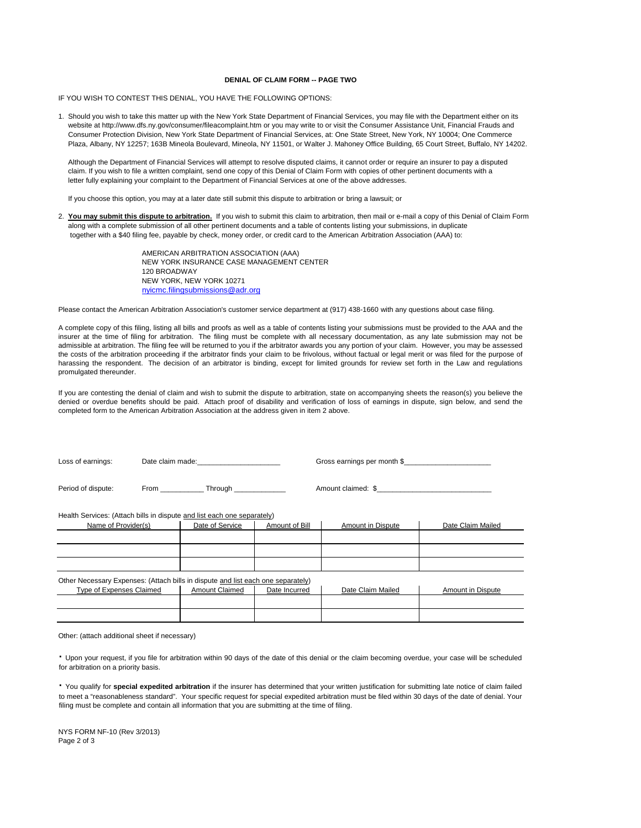### **DENIAL OF CLAIM FORM -- PAGE TWO**

IF YOU WISH TO CONTEST THIS DENIAL, YOU HAVE THE FOLLOWING OPTIONS:

 1. Should you wish to take this matter up with the New York State Department of Financial Services, you may file with the Department either on its website at http://www.dfs.ny.gov/consumer/fileacomplaint.htm or you may write to or visit the Consumer Assistance Unit, Financial Frauds and Consumer Protection Division, New York State Department of Financial Services, at: One State Street, New York, NY 10004; One Commerce Plaza, Albany, NY 12257; 163B Mineola Boulevard, Mineola, NY 11501, or Walter J. Mahoney Office Building, 65 Court Street, Buffalo, NY 14202.

Although the Department of Financial Services will attempt to resolve disputed claims, it cannot order or require an insurer to pay a disputed claim. If you wish to file a written complaint, send one copy of this Denial of Claim Form with copies of other pertinent documents with a letter fully explaining your complaint to the Department of Financial Services at one of the above addresses.

If you choose this option, you may at a later date still submit this dispute to arbitration or bring a lawsuit; or

 2. **You may submit this dispute to arbitration.** If you wish to submit this claim to arbitration, then mail or e-mail a copy of this Denial of Claim Form along with a complete submission of all other pertinent documents and a table of contents listing your submissions, in duplicate together with a \$40 filing fee, payable by check, money order, or credit card to the American Arbitration Association (AAA) to:

> NEW YORK, NEW YORK 10271 AMERICAN ARBITRATION ASSOCIATION (AAA) NEW YORK INSURANCE CASE MANAGEMENT CENTER 120 BROADWAY nyicmc.filingsubmissions@adr.org

Please contact the American Arbitration Association's customer service department at (917) 438-1660 with any questions about case filing.

A complete copy of this filing, listing all bills and proofs as well as a table of contents listing your submissions must be provided to the AAA and the insurer at the time of filing for arbitration. The filing must be complete with all necessary documentation, as any late submission may not be admissible at arbitration. The filing fee will be returned to you if the arbitrator awards you any portion of your claim. However, you may be assessed the costs of the arbitration proceeding if the arbitrator finds your claim to be frivolous, without factual or legal merit or was filed for the purpose of harassing the respondent. The decision of an arbitrator is binding, except for limited grounds for review set forth in the Law and regulations promulgated thereunder.

 completed form to the American Arbitration Association at the address given in item 2 above. If you are contesting the denial of claim and wish to submit the dispute to arbitration, state on accompanying sheets the reason(s) you believe the denied or overdue benefits should be paid. Attach proof of disability and verification of loss of earnings in dispute, sign below, and send the

| Loss of earnings:        |  | Date claim made: example a series and the series of the series of the series of the series of the series of the series of the series of the series of the series of the series of the series of the series of the series of th |                | Gross earnings per month \$ |                   |  |
|--------------------------|--|--------------------------------------------------------------------------------------------------------------------------------------------------------------------------------------------------------------------------------|----------------|-----------------------------|-------------------|--|
| Period of dispute:       |  | From Through Through                                                                                                                                                                                                           |                | Amount claimed: \$          |                   |  |
|                          |  | Health Services: (Attach bills in dispute and list each one separately)                                                                                                                                                        |                |                             |                   |  |
| Name of Provider(s)      |  | Date of Service                                                                                                                                                                                                                | Amount of Bill | Amount in Dispute           | Date Claim Mailed |  |
|                          |  |                                                                                                                                                                                                                                |                |                             |                   |  |
|                          |  |                                                                                                                                                                                                                                |                |                             |                   |  |
|                          |  |                                                                                                                                                                                                                                |                |                             |                   |  |
|                          |  | Other Necessary Expenses: (Attach bills in dispute and list each one separately)                                                                                                                                               |                |                             |                   |  |
| Type of Expenses Claimed |  | <b>Amount Claimed</b>                                                                                                                                                                                                          | Date Incurred  | Date Claim Mailed           | Amount in Dispute |  |
|                          |  |                                                                                                                                                                                                                                |                |                             |                   |  |
|                          |  |                                                                                                                                                                                                                                |                |                             |                   |  |
|                          |  |                                                                                                                                                                                                                                |                |                             |                   |  |

Other: (attach additional sheet if necessary)

 for arbitration on a priority basis. **·** Upon your request, if you file for arbitration within 90 days of the date of this denial or the claim becoming overdue, your case will be scheduled

 filing must be complete and contain all information that you are submitting at the time of filing. **·** You qualify for **special expedited arbitration** if the insurer has determined that your written justification for submitting late notice of claim failed to meet a "reasonableness standard". Your specific request for special expedited arbitration must be filed within 30 days of the date of denial. Your

 NYS FORM NF-10 (Rev 3/2013) Page 2 of 3